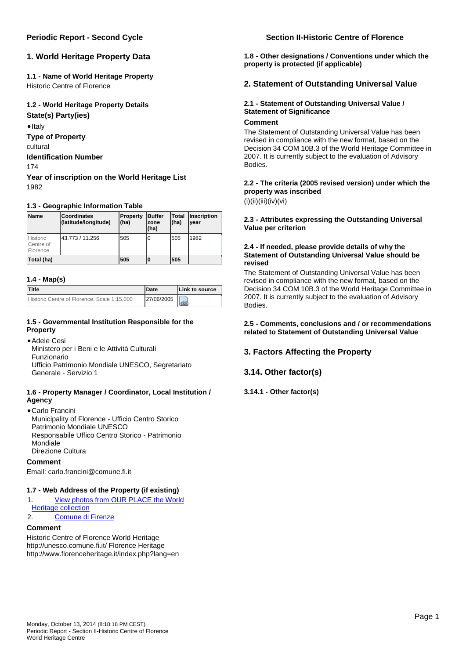# **1. World Heritage Property Data**

# **1.1 - Name of World Heritage Property**

Historic Centre of Florence

## **1.2 - World Heritage Property Details**

**State(s) Party(ies)**

 $\bullet$  Italy

**Type of Property**

cultural

# **Identification Number**

174

**Year of inscription on the World Heritage List** 1982

## **1.3 - Geographic Information Table**

| <b>Name</b>                              | Coordinates<br>(latitude/longitude) | Property<br>(ha) | <b>Buffer</b><br>zone<br>(ha) | Total<br>(ha) | <b>Inscription</b><br>vear |
|------------------------------------------|-------------------------------------|------------------|-------------------------------|---------------|----------------------------|
| <b>Historic</b><br>Centre of<br>Florence | 43.773 / 11.256                     | 505              | Ю                             | 505           | 1982                       |
| Total (ha)                               |                                     | 505              | 10                            | 505           |                            |

## **1.4 - Map(s)**

| <b>Title</b>                                | <b>IDate</b> | Link to source |
|---------------------------------------------|--------------|----------------|
| Historic Centre of Florence, Scale 1:15,000 | 27/06/2005   |                |

## **1.5 - Governmental Institution Responsible for the Property**

## Adele Cesi

Ministero per i Beni e le Attività Culturali Funzionario Ufficio Patrimonio Mondiale UNESCO, Segretariato Generale - Servizio 1

## **1.6 - Property Manager / Coordinator, Local Institution / Agency**

Carlo Francini Municipality of Florence - Ufficio Centro Storico Patrimonio Mondiale UNESCO Responsabile Uffico Centro Storico - Patrimonio Mondiale Direzione Cultura

## **Comment**

Email: carlo.francini@comune.fi.it

## **1.7 - Web Address of the Property (if existing)**

- 1. [View photos from OUR PLACE the World](http://www.ourplaceworldheritage.com/custom.cfm?action=WHsite&whsiteid=174)  [Heritage collection](http://www.ourplaceworldheritage.com/custom.cfm?action=WHsite&whsiteid=174)
- 2. [Comune di Firenze](http://www.comune.firenze.it/)

## **Comment**

Historic Centre of Florence World Heritage http://unesco.comune.fi.it/ Florence Heritage http://www.florenceheritage.it/index.php?lang=en

## **Periodic Report - Second Cycle Section II-Historic Centre of Florence**

**1.8 - Other designations / Conventions under which the property is protected (if applicable)** 

## **2. Statement of Outstanding Universal Value**

## **2.1 - Statement of Outstanding Universal Value / Statement of Significance**

### **Comment**

The Statement of Outstanding Universal Value has been revised in compliance with the new format, based on the Decision 34 COM 10B.3 of the World Heritage Committee in 2007. It is currently subject to the evaluation of Advisory Bodies.

# **2.2 - The criteria (2005 revised version) under which the property was inscribed**

 $(i)(ii)(iii)(iv)(vi)$ 

### **2.3 - Attributes expressing the Outstanding Universal Value per criterion**

## **2.4 - If needed, please provide details of why the Statement of Outstanding Universal Value should be revised**

The Statement of Outstanding Universal Value has been revised in compliance with the new format, based on the Decision 34 COM 10B.3 of the World Heritage Committee in 2007. It is currently subject to the evaluation of Advisory Bodies.

### **2.5 - Comments, conclusions and / or recommendations related to Statement of Outstanding Universal Value**

## **3. Factors Affecting the Property**

## **3.14. Other factor(s)**

## **3.14.1 - Other factor(s)**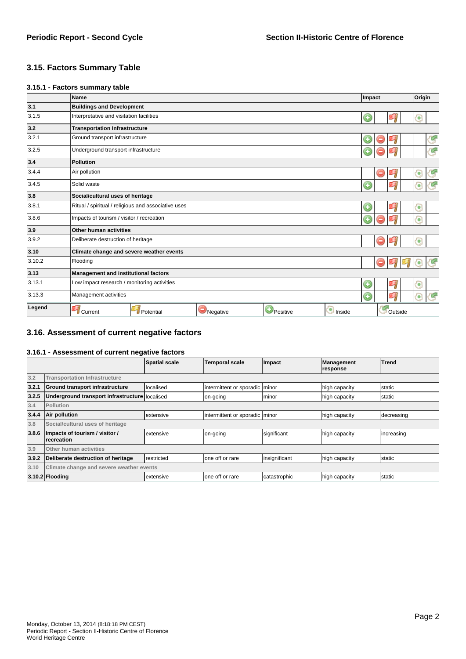# **3.15. Factors Summary Table**

#### **3.15.1 - Factors summary table**

|        | Name                                                                    | Impact |   |         | Origin |    |
|--------|-------------------------------------------------------------------------|--------|---|---------|--------|----|
| 3.1    | <b>Buildings and Development</b>                                        |        |   |         |        |    |
| 3.1.5  | Interpretative and visitation facilities                                | O      |   |         | п      |    |
| 3.2    | <b>Transportation Infrastructure</b>                                    |        |   |         |        |    |
| 3.2.1  | Ground transport infrastructure                                         |        |   |         |        | 9  |
| 3.2.5  | Underground transport infrastructure                                    |        |   |         |        | Y. |
| 3.4    | Pollution                                                               |        |   |         |        |    |
| 3.4.4  | Air pollution                                                           |        | o | ч       | o      | G  |
| 3.4.5  | Solid waste                                                             | O      |   |         | ۵      | ť, |
| 3.8    | Social/cultural uses of heritage                                        |        |   |         |        |    |
| 3.8.1  | Ritual / spiritual / religious and associative uses                     | G      |   |         | о      |    |
| 3.8.6  | Impacts of tourism / visitor / recreation                               |        |   |         | ត      |    |
| 3.9    | Other human activities                                                  |        |   |         |        |    |
| 3.9.2  | Deliberate destruction of heritage                                      |        | - |         | п      |    |
| 3.10   | Climate change and severe weather events                                |        |   |         |        |    |
| 3.10.2 | Flooding                                                                |        | - |         | ۰      |    |
| 3.13   | <b>Management and institutional factors</b>                             |        |   |         |        |    |
| 3.13.1 | Low impact research / monitoring activities                             | G      |   | C)      | п      |    |
| 3.13.3 | m<br>Management activities<br>O<br>Э                                    |        |   | t,      |        |    |
| Legend | Positive<br>nside<br>Negative<br><b>U</b> Current<br><i>I</i> Potential |        |   | Outside |        |    |

## **3.16. Assessment of current negative factors**

### **3.16.1 - Assessment of current negative factors**

|       |                                                     | <b>Spatial scale</b> | <b>Temporal scale</b>          | Impact        | Management<br>response | Trend      |
|-------|-----------------------------------------------------|----------------------|--------------------------------|---------------|------------------------|------------|
| 3.2   | <b>Transportation Infrastructure</b>                |                      |                                |               |                        |            |
| 3.2.1 | Ground transport infrastructure                     | localised            | intermittent or sporadic minor |               | high capacity          | static     |
| 3.2.5 | Underground transport infrastructure localised      |                      | on-going                       | Iminor        | high capacity          | static     |
| 3.4   | Pollution                                           |                      |                                |               |                        |            |
| 3.4.4 | Air pollution                                       | extensive            | intermittent or sporadic minor |               | high capacity          | decreasing |
| 3.8   | Social/cultural uses of heritage                    |                      |                                |               |                        |            |
| 3.8.6 | Impacts of tourism / visitor /<br><b>recreation</b> | extensive            | on-going                       | significant   | high capacity          | increasing |
| 3.9   | Other human activities                              |                      |                                |               |                        |            |
| 3.9.2 | Deliberate destruction of heritage                  | restricted           | lone off or rare               | insignificant | high capacity          | static     |
| 3.10  | Climate change and severe weather events            |                      |                                |               |                        |            |
|       | $ 3.10.2 $ Flooding                                 | extensive            | lone off or rare               | catastrophic  | high capacity          | static     |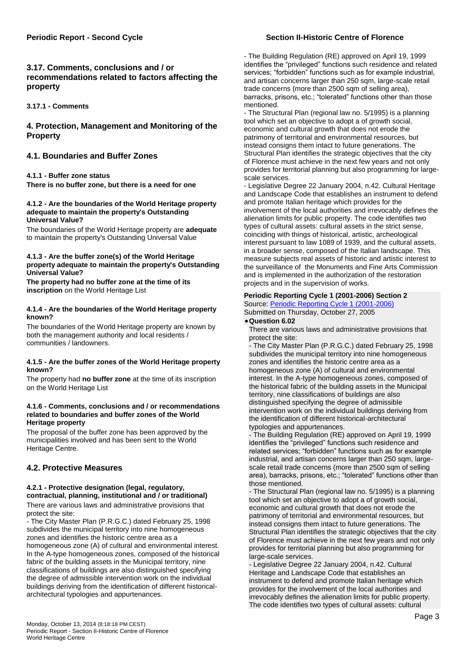## **Periodic Report - Second Cycle Section II-Historic Centre of Florence**

# **3.17. Comments, conclusions and / or recommendations related to factors affecting the property**

**3.17.1 - Comments** 

## **4. Protection, Management and Monitoring of the Property**

## **4.1. Boundaries and Buffer Zones**

## **4.1.1 - Buffer zone status**

**There is no buffer zone, but there is a need for one**

#### **4.1.2 - Are the boundaries of the World Heritage property adequate to maintain the property's Outstanding Universal Value?**

The boundaries of the World Heritage property are **adequate** to maintain the property's Outstanding Universal Value

#### **4.1.3 - Are the buffer zone(s) of the World Heritage property adequate to maintain the property's Outstanding Universal Value?**

**The property had no buffer zone at the time of its inscription** on the World Heritage List

#### **4.1.4 - Are the boundaries of the World Heritage property known?**

The boundaries of the World Heritage property are known by both the management authority and local residents / communities / landowners.

#### **4.1.5 - Are the buffer zones of the World Heritage property known?**

The property had **no buffer zone** at the time of its inscription on the World Heritage List

#### **4.1.6 - Comments, conclusions and / or recommendations related to boundaries and buffer zones of the World Heritage property**

The proposal of the buffer zone has been approved by the municipalities involved and has been sent to the World Heritage Centre.

## **4.2. Protective Measures**

# **4.2.1 - Protective designation (legal, regulatory, contractual, planning, institutional and / or traditional)**

There are various laws and administrative provisions that protect the site:

- The City Master Plan (P.R.G.C.) dated February 25, 1998 subdivides the municipal territory into nine homogeneous zones and identifies the historic centre area as a homogeneous zone (A) of cultural and environmental interest. In the A-type homogeneous zones, composed of the historical fabric of the building assets in the Municipal territory, nine classifications of buildings are also distinguished specifying the degree of admissible intervention work on the individual buildings deriving from the identification of different historicalarchitectural typologies and appurtenances.

- The Building Regulation (RE) approved on April 19, 1999 identifies the "privileged" functions such residence and related services; "forbidden" functions such as for example industrial, and artisan concerns larger than 250 sqm, large-scale retail trade concerns (more than 2500 sqm of selling area), barracks, prisons, etc.; "tolerated" functions other than those mentioned.

- The Structural Plan (regional law no. 5/1995) is a planning tool which set an objective to adopt a of growth social, economic and cultural growth that does not erode the patrimony of territorial and environmental resources, but instead consigns them intact to future generations. The Structural Plan identifies the strategic objectives that the city of Florence must achieve in the next few years and not only provides for territorial planning but also programming for largescale services.

- Legislative Degree 22 January 2004, n.42. Cultural Heritage and Landscape Code that establishes an instrument to defend and promote Italian heritage which provides for the involvement of the local authorities and irrevocably defines the alienation limits for public property. The code identifies two types of cultural assets: cultural assets in the strict sense, coinciding with things of historical, artistic, archeological interest pursuant to law 1089 of 1939, and the cultural assets, in a broader sense, composed of the Italian landscape. This measure subjects real assets of historic and artistic interest to the surveillance of the Monuments and Fine Arts Commission and is implemented in the authorization of the restoration projects and in the supervision of works.

## **Periodic Reporting Cycle 1 (2001-2006) Section 2**

Source: [Periodic Reporting Cycle 1 \(2001-2006\)](/?cid=75&perrep_page=2&language=en&currprgrf=II.06&prevprgrf=&id£1£1=125) Submitted on Thursday, October 27, 2005

## **Question 6.02**

There are various laws and administrative provisions that protect the site:

- The City Master Plan (P.R.G.C.) dated February 25, 1998 subdivides the municipal territory into nine homogeneous zones and identifies the historic centre area as a homogeneous zone (A) of cultural and environmental interest. In the A-type homogeneous zones, composed of the historical fabric of the building assets in the Municipal territory, nine classifications of buildings are also distinguished specifying the degree of admissible intervention work on the individual buildings deriving from the identification of different historical-architectural typologies and appurtenances.

- The Building Regulation (RE) approved on April 19, 1999 identifies the "privileged" functions such residence and related services; "forbidden" functions such as for example industrial, and artisan concerns larger than 250 sqm, largescale retail trade concerns (more than 2500 sqm of selling area), barracks, prisons, etc.; "tolerated" functions other than those mentioned.

- The Structural Plan (regional law no. 5/1995) is a planning tool which set an objective to adopt a of growth social, economic and cultural growth that does not erode the patrimony of territorial and environmental resources, but instead consigns them intact to future generations. The Structural Plan identifies the strategic objectives that the city of Florence must achieve in the next few years and not only provides for territorial planning but also programming for large-scale services.

- Legislative Degree 22 January 2004, n.42. Cultural Heritage and Landscape Code that establishes an instrument to defend and promote Italian heritage which provides for the involvement of the local authorities and irrevocably defines the alienation limits for public property. The code identifies two types of cultural assets: cultural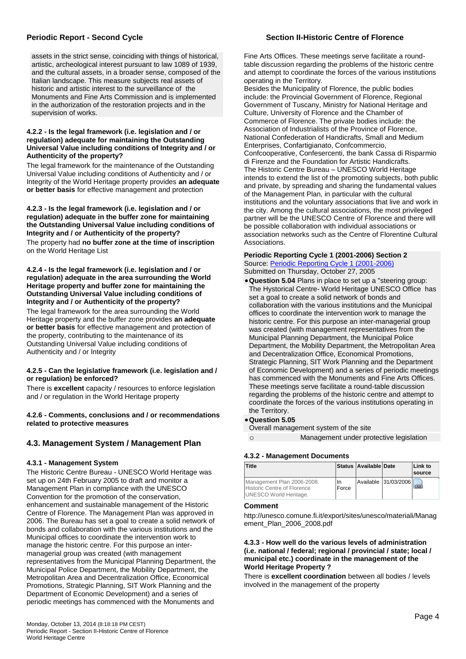assets in the strict sense, coinciding with things of historical, artistic, archeological interest pursuant to law 1089 of 1939, and the cultural assets, in a broader sense, composed of the Italian landscape. This measure subjects real assets of historic and artistic interest to the surveillance of the Monuments and Fine Arts Commission and is implemented in the authorization of the restoration projects and in the supervision of works.

#### **4.2.2 - Is the legal framework (i.e. legislation and / or regulation) adequate for maintaining the Outstanding Universal Value including conditions of Integrity and / or Authenticity of the property?**

The legal framework for the maintenance of the Outstanding Universal Value including conditions of Authenticity and / or Integrity of the World Heritage property provides **an adequate or better basis** for effective management and protection

**4.2.3 - Is the legal framework (i.e. legislation and / or regulation) adequate in the buffer zone for maintaining the Outstanding Universal Value including conditions of Integrity and / or Authenticity of the property?**  The property had **no buffer zone at the time of inscription** on the World Heritage List

#### **4.2.4 - Is the legal framework (i.e. legislation and / or regulation) adequate in the area surrounding the World Heritage property and buffer zone for maintaining the Outstanding Universal Value including conditions of Integrity and / or Authenticity of the property?**

The legal framework for the area surrounding the World Heritage property and the buffer zone provides **an adequate or better basis** for effective management and protection of the property, contributing to the maintenance of its Outstanding Universal Value including conditions of Authenticity and / or Integrity

### **4.2.5 - Can the legislative framework (i.e. legislation and / or regulation) be enforced?**

There is **excellent** capacity / resources to enforce legislation and / or regulation in the World Heritage property

### **4.2.6 - Comments, conclusions and / or recommendations related to protective measures**

# **4.3. Management System / Management Plan**

## **4.3.1 - Management System**

The Historic Centre Bureau - UNESCO World Heritage was set up on 24th February 2005 to draft and monitor a Management Plan in compliance with the UNESCO Convention for the promotion of the conservation, enhancement and sustainable management of the Historic Centre of Florence. The Management Plan was approved in 2006. The Bureau has set a goal to create a solid network of bonds and collaboration with the various institutions and the Municipal offices to coordinate the intervention work to manage the historic centre. For this purpose an intermanagerial group was created (with management representatives from the Municipal Planning Department, the Municipal Police Department, the Mobility Department, the Metropolitan Area and Decentralization Office, Economical Promotions, Strategic Planning, SIT Work Planning and the Department of Economic Development) and a series of periodic meetings has commenced with the Monuments and

## **Periodic Report - Second Cycle Section II-Historic Centre of Florence**

Fine Arts Offices. These meetings serve facilitate a roundtable discussion regarding the problems of the historic centre and attempt to coordinate the forces of the various institutions operating in the Territory.

Besides the Municipality of Florence, the public bodies include: the Provincial Government of Florence, Regional Government of Tuscany, Ministry for National Heritage and Culture, University of Florence and the Chamber of Commerce of Florence. The private bodies include: the Association of Industrialists of the Province of Florence, National Confederation of Handicrafts, Small and Medium Enterprises, Confartigianato, Confcommercio, Confcooperative, Confesercenti, the bank Cassa di Risparmio di Firenze and the Foundation for Artistic Handicrafts. The Historic Centre Bureau – UNESCO World Heritage intends to extend the list of the promoting subjects, both public and private, by spreading and sharing the fundamental values of the Management Plan, in particular with the cultural institutions and the voluntary associations that live and work in the city. Among the cultural associations, the most privileged partner will be the UNESCO Centre of Florence and there will be possible collaboration with individual associations or association networks such as the Centre of Florentine Cultural Associations.

#### **Periodic Reporting Cycle 1 (2001-2006) Section 2** Source: [Periodic Reporting Cycle 1 \(2001-2006\)](/?cid=75&perrep_page=2&language=en&currprgrf=II.05&prevprgrf=&id£1£1=125)

Submitted on Thursday, October 27, 2005

**Question 5.04** Plans in place to set up a "steering group: The Hystorical Centre- World Heritage UNESCO Office has set a goal to create a solid network of bonds and collaboration with the various institutions and the Municipal offices to coordinate the intervention work to manage the historic centre. For this purpose an inter-managerial group was created (with management representatives from the Municipal Planning Department, the Municipal Police Department, the Mobility Department, the Metropolitan Area and Decentralization Office, Economical Promotions, Strategic Planning, SIT Work Planning and the Department of Economic Development) and a series of periodic meetings has commenced with the Monuments and Fine Arts Offices. These meetings serve facilitate a round-table discussion regarding the problems of the historic centre and attempt to coordinate the forces of the various institutions operating in the Territory.

## **Question 5.05**

Overall management system of the site

Management under protective legislation

## **4.3.2 - Management Documents**

| <b>Title</b>                                                                               |             | Status   Available   Date |                      | Link to<br><b>source</b> |
|--------------------------------------------------------------------------------------------|-------------|---------------------------|----------------------|--------------------------|
| Management Plan 2006-2008.<br><b>Historic Centre of Florence</b><br>UNESCO World Heritage. | In<br>Force |                           | Available 31/03/2006 |                          |

## **Comment**

http://unesco.comune.fi.it/export/sites/unesco/materiali/Manag ement\_Plan\_2006\_2008.pdf

#### **4.3.3 - How well do the various levels of administration (i.e. national / federal; regional / provincial / state; local / municipal etc.) coordinate in the management of the World Heritage Property ?**

There is **excellent coordination** between all bodies / levels involved in the management of the property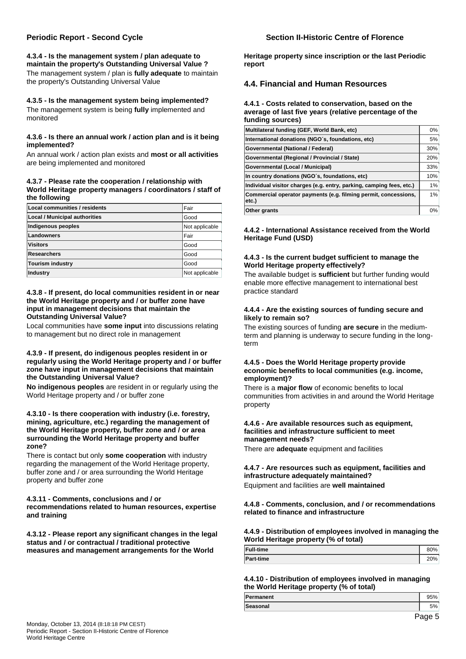**4.3.4 - Is the management system / plan adequate to maintain the property's Outstanding Universal Value ?**  The management system / plan is **fully adequate** to maintain the property's Outstanding Universal Value

**4.3.5 - Is the management system being implemented?**  The management system is being **fully** implemented and monitored

#### **4.3.6 - Is there an annual work / action plan and is it being implemented?**

An annual work / action plan exists and **most or all activities** are being implemented and monitored

#### **4.3.7 - Please rate the cooperation / relationship with World Heritage property managers / coordinators / staff of the following**

| Local communities / residents        | Fair           |
|--------------------------------------|----------------|
| <b>Local / Municipal authorities</b> | Good           |
| Indigenous peoples                   | Not applicable |
| Landowners                           | Fair           |
| Visitors                             | Good           |
| Researchers                          | Good           |
| Tourism industry                     | Good           |
| Industry                             | Not applicable |

#### **4.3.8 - If present, do local communities resident in or near the World Heritage property and / or buffer zone have input in management decisions that maintain the Outstanding Universal Value?**

Local communities have **some input** into discussions relating to management but no direct role in management

#### **4.3.9 - If present, do indigenous peoples resident in or regularly using the World Heritage property and / or buffer zone have input in management decisions that maintain the Outstanding Universal Value?**

**No indigenous peoples** are resident in or regularly using the World Heritage property and / or buffer zone

#### **4.3.10 - Is there cooperation with industry (i.e. forestry, mining, agriculture, etc.) regarding the management of the World Heritage property, buffer zone and / or area surrounding the World Heritage property and buffer zone?**

There is contact but only **some cooperation** with industry regarding the management of the World Heritage property, buffer zone and / or area surrounding the World Heritage property and buffer zone

## **4.3.11 - Comments, conclusions and / or**

**recommendations related to human resources, expertise and training** 

**4.3.12 - Please report any significant changes in the legal status and / or contractual / traditional protective measures and management arrangements for the World** 

## **Periodic Report - Second Cycle Section II-Historic Centre of Florence**

**Heritage property since inscription or the last Periodic report** 

## **4.4. Financial and Human Resources**

#### **4.4.1 - Costs related to conservation, based on the average of last five years (relative percentage of the funding sources)**

| Multilateral funding (GEF, World Bank, etc)                          | 0%  |
|----------------------------------------------------------------------|-----|
| International donations (NGO's, foundations, etc)                    | 5%  |
| Governmental (National / Federal)                                    | 30% |
| Governmental (Regional / Provincial / State)                         | 20% |
| Governmental (Local / Municipal)                                     | 33% |
| In country donations (NGO's, foundations, etc)                       | 10% |
| Individual visitor charges (e.g. entry, parking, camping fees, etc.) | 1%  |
| Commercial operator payments (e.g. filming permit, concessions,      | 1%  |
| etc.)                                                                |     |
| Other grants                                                         | 0%  |

#### **4.4.2 - International Assistance received from the World Heritage Fund (USD)**

### **4.4.3 - Is the current budget sufficient to manage the World Heritage property effectively?**

The available budget is **sufficient** but further funding would enable more effective management to international best practice standard

### **4.4.4 - Are the existing sources of funding secure and likely to remain so?**

The existing sources of funding **are secure** in the mediumterm and planning is underway to secure funding in the longterm

#### **4.4.5 - Does the World Heritage property provide economic benefits to local communities (e.g. income, employment)?**

There is a **major flow** of economic benefits to local communities from activities in and around the World Heritage property

#### **4.4.6 - Are available resources such as equipment, facilities and infrastructure sufficient to meet management needs?**

There are **adequate** equipment and facilities

#### **4.4.7 - Are resources such as equipment, facilities and infrastructure adequately maintained?**  Equipment and facilities are **well maintained**

#### **4.4.8 - Comments, conclusion, and / or recommendations related to finance and infrastructure**

### **4.4.9 - Distribution of employees involved in managing the World Heritage property (% of total)**

| <b>Full-time</b> | 80% |  |
|------------------|-----|--|
| <b>Part-time</b> | 20% |  |

### **4.4.10 - Distribution of employees involved in managing the World Heritage property (% of total)**

| Permanent |   |
|-----------|---|
| Seasonal  |   |
| -         | - |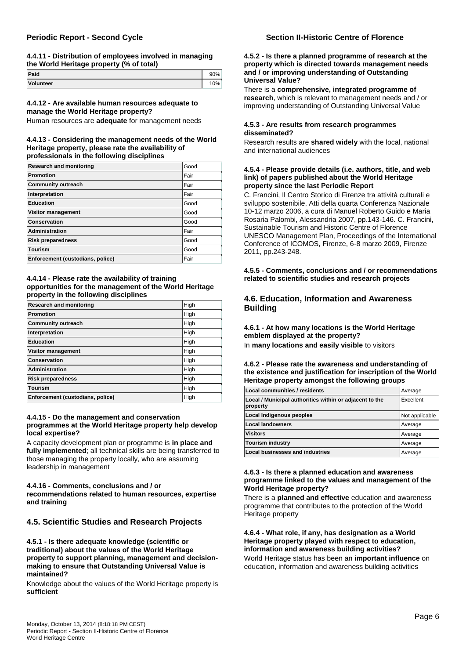#### **4.4.11 - Distribution of employees involved in managing the World Heritage property (% of total)**

| Paid      | ገ%    |
|-----------|-------|
| Volunteer | $0\%$ |

#### **4.4.12 - Are available human resources adequate to manage the World Heritage property?**

Human resources are **adequate** for management needs

#### **4.4.13 - Considering the management needs of the World Heritage property, please rate the availability of professionals in the following disciplines**

| <b>Research and monitoring</b>   | Good |
|----------------------------------|------|
| Promotion                        | Fair |
| <b>Community outreach</b>        | Fair |
| Interpretation                   | Fair |
| <b>Education</b>                 | Good |
| Visitor management               | Good |
| <b>Conservation</b>              | Good |
| Administration                   | Fair |
| <b>Risk preparedness</b>         | Good |
| <b>Tourism</b>                   | Good |
| Enforcement (custodians, police) | Fair |

#### **4.4.14 - Please rate the availability of training opportunities for the management of the World Heritage property in the following disciplines**

| <b>Research and monitoring</b>   | High |
|----------------------------------|------|
| <b>Promotion</b>                 | High |
| <b>Community outreach</b>        | High |
| Interpretation                   | High |
| <b>Education</b>                 | High |
| <b>Visitor management</b>        | High |
| Conservation                     | High |
| <b>Administration</b>            | High |
| <b>Risk preparedness</b>         | High |
| <b>Tourism</b>                   | High |
| Enforcement (custodians, police) | High |

#### **4.4.15 - Do the management and conservation programmes at the World Heritage property help develop local expertise?**

A capacity development plan or programme is **in place and fully implemented**; all technical skills are being transferred to those managing the property locally, who are assuming leadership in management

## **4.4.16 - Comments, conclusions and / or**

**recommendations related to human resources, expertise and training** 

## **4.5. Scientific Studies and Research Projects**

**4.5.1 - Is there adequate knowledge (scientific or traditional) about the values of the World Heritage property to support planning, management and decisionmaking to ensure that Outstanding Universal Value is maintained?** 

Knowledge about the values of the World Heritage property is **sufficient**

## **Periodic Report - Second Cycle Section II-Historic Centre of Florence**

#### **4.5.2 - Is there a planned programme of research at the property which is directed towards management needs and / or improving understanding of Outstanding Universal Value?**

There is a **comprehensive, integrated programme of research**, which is relevant to management needs and / or improving understanding of Outstanding Universal Value

#### **4.5.3 - Are results from research programmes disseminated?**

Research results are **shared widely** with the local, national and international audiences

#### **4.5.4 - Please provide details (i.e. authors, title, and web link) of papers published about the World Heritage property since the last Periodic Report**

C. Francini, Il Centro Storico di Firenze tra attività culturali e sviluppo sostenibile, Atti della quarta Conferenza Nazionale 10-12 marzo 2006, a cura di Manuel Roberto Guido e Maria Rosaria Palombi, Alessandria 2007, pp.143-146. C. Francini, Sustainable Tourism and Historic Centre of Florence UNESCO Management Plan, Proceedings of the International Conference of ICOMOS, Firenze, 6-8 marzo 2009, Firenze 2011, pp.243-248.

### **4.5.5 - Comments, conclusions and / or recommendations related to scientific studies and research projects**

## **4.6. Education, Information and Awareness Building**

**4.6.1 - At how many locations is the World Heritage emblem displayed at the property?**  In **many locations and easily visible** to visitors

#### **4.6.2 - Please rate the awareness and understanding of the existence and justification for inscription of the World Heritage property amongst the following groups**

| Local communities / residents                                       | Average        |
|---------------------------------------------------------------------|----------------|
| Local / Municipal authorities within or adjacent to the<br>property | Excellent      |
| Local Indigenous peoples                                            | Not applicable |
| <b>Local landowners</b>                                             | Average        |
| <b>Visitors</b>                                                     | Average        |
| Tourism industry                                                    | Average        |
| <b>Local businesses and industries</b>                              | Average        |

#### **4.6.3 - Is there a planned education and awareness programme linked to the values and management of the World Heritage property?**

There is a **planned and effective** education and awareness programme that contributes to the protection of the World Heritage property

**4.6.4 - What role, if any, has designation as a World Heritage property played with respect to education, information and awareness building activities?**  World Heritage status has been an **important influence** on education, information and awareness building activities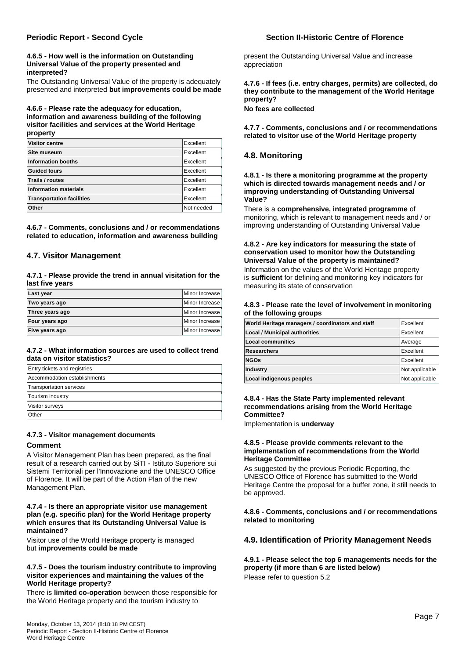#### **4.6.5 - How well is the information on Outstanding Universal Value of the property presented and interpreted?**

The Outstanding Universal Value of the property is adequately presented and interpreted **but improvements could be made**

#### **4.6.6 - Please rate the adequacy for education, information and awareness building of the following visitor facilities and services at the World Heritage property**

| <b>Visitor centre</b>            | Excellent  |
|----------------------------------|------------|
| Site museum                      | Excellent  |
| Information booths               | Excellent  |
| Guided tours                     | Excellent  |
| Trails / routes                  | Excellent  |
| <b>Information materials</b>     | Excellent  |
| <b>Transportation facilities</b> | Excellent  |
| Other                            | Not needed |

**4.6.7 - Comments, conclusions and / or recommendations related to education, information and awareness building** 

## **4.7. Visitor Management**

**4.7.1 - Please provide the trend in annual visitation for the last five years** 

| Last year       | Minor Increase |
|-----------------|----------------|
| Two years ago   | Minor Increase |
| Three years ago | Minor Increase |
| Four years ago  | Minor Increase |
| Five years ago  | Minor Increase |

### **4.7.2 - What information sources are used to collect trend data on visitor statistics?**

| <b>Entry tickets and registries</b> |
|-------------------------------------|
| Accommodation establishments        |
| Transportation services             |
| Tourism industry                    |
| <b>Visitor surveys</b>              |
| <b>Other</b>                        |

## **4.7.3 - Visitor management documents**

#### **Comment**

A Visitor Management Plan has been prepared, as the final result of a research carried out by SiTI - Istituto Superiore sui Sistemi Territoriali per l'Innovazione and the UNESCO Office of Florence. It will be part of the Action Plan of the new Management Plan.

#### **4.7.4 - Is there an appropriate visitor use management plan (e.g. specific plan) for the World Heritage property which ensures that its Outstanding Universal Value is maintained?**

Visitor use of the World Heritage property is managed but **improvements could be made**

#### **4.7.5 - Does the tourism industry contribute to improving visitor experiences and maintaining the values of the World Heritage property?**

There is **limited co-operation** between those responsible for the World Heritage property and the tourism industry to

## **Periodic Report - Second Cycle Section II-Historic Centre of Florence**

present the Outstanding Universal Value and increase appreciation

**4.7.6 - If fees (i.e. entry charges, permits) are collected, do they contribute to the management of the World Heritage property?** 

**No fees are collected**

**4.7.7 - Comments, conclusions and / or recommendations related to visitor use of the World Heritage property** 

# **4.8. Monitoring**

**4.8.1 - Is there a monitoring programme at the property which is directed towards management needs and / or improving understanding of Outstanding Universal Value?** 

There is a **comprehensive, integrated programme** of monitoring, which is relevant to management needs and / or improving understanding of Outstanding Universal Value

## **4.8.2 - Are key indicators for measuring the state of conservation used to monitor how the Outstanding Universal Value of the property is maintained?**

Information on the values of the World Heritage property is **sufficient** for defining and monitoring key indicators for measuring its state of conservation

#### **4.8.3 - Please rate the level of involvement in monitoring of the following groups**

| World Heritage managers / coordinators and staff | Excellent      |
|--------------------------------------------------|----------------|
| <b>Local / Municipal authorities</b>             | Excellent      |
| <b>Local communities</b>                         | Average        |
| <b>Researchers</b>                               | Excellent      |
| <b>NGOs</b>                                      | Excellent      |
| Industry                                         | Not applicable |
| Local indigenous peoples                         | Not applicable |

### **4.8.4 - Has the State Party implemented relevant recommendations arising from the World Heritage Committee?**

Implementation is **underway**

#### **4.8.5 - Please provide comments relevant to the implementation of recommendations from the World Heritage Committee**

As suggested by the previous Periodic Reporting, the UNESCO Office of Florence has submitted to the World Heritage Centre the proposal for a buffer zone, it still needs to be approved.

### **4.8.6 - Comments, conclusions and / or recommendations related to monitoring**

## **4.9. Identification of Priority Management Needs**

**4.9.1 - Please select the top 6 managements needs for the property (if more than 6 are listed below)**  Please refer to question 5.2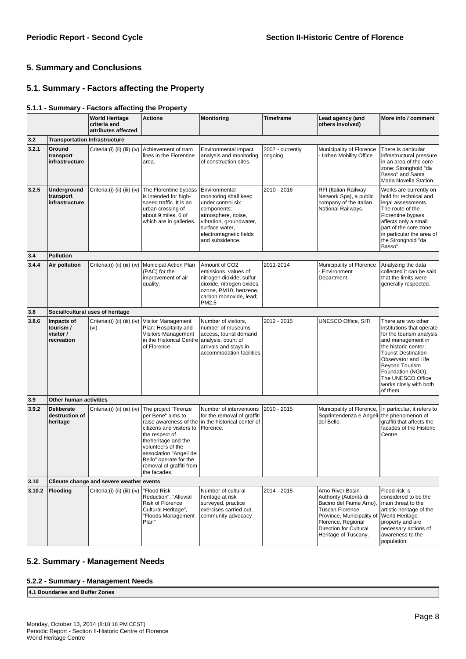# **5. Summary and Conclusions**

# **5.1. Summary - Factors affecting the Property**

# **5.1.1 - Summary - Factors affecting the Property**

|        |                                                    | <b>World Heritage</b><br>criteria and<br>attributes affected | <b>Actions</b>                                                                                                                                                                                                                                                 | <b>Monitoring</b>                                                                                                                                                                          | Timeframe                   | Lead agency (and<br>others involved)                                                                                                                                                                        | More info / comment                                                                                                                                                                                                                                                                     |
|--------|----------------------------------------------------|--------------------------------------------------------------|----------------------------------------------------------------------------------------------------------------------------------------------------------------------------------------------------------------------------------------------------------------|--------------------------------------------------------------------------------------------------------------------------------------------------------------------------------------------|-----------------------------|-------------------------------------------------------------------------------------------------------------------------------------------------------------------------------------------------------------|-----------------------------------------------------------------------------------------------------------------------------------------------------------------------------------------------------------------------------------------------------------------------------------------|
| 3.2    | <b>Transportation Infrastructure</b>               |                                                              |                                                                                                                                                                                                                                                                |                                                                                                                                                                                            |                             |                                                                                                                                                                                                             |                                                                                                                                                                                                                                                                                         |
| 3.2.1  | Ground<br>transport<br>infrastructure              | Criteria:(i) (ii) (iii) (iv)                                 | Achievement of tram<br>lines in the Florentine<br>area.                                                                                                                                                                                                        | Environmental impact<br>analysis and monitoring<br>of construction sites.                                                                                                                  | 2007 - currently<br>ongoing | Municipality of Florence<br>- Urban Mobility Office                                                                                                                                                         | There is particular<br>infrastructural pressure<br>in an area of the core<br>zone: Stronghold "da<br>Basso" and Santa<br>Maria Novella Station.                                                                                                                                         |
| 3.2.5  | Underground<br>transport<br>infrastructure         |                                                              | Criteria: (i) (ii) (iii) (iv) The Florentine bypass<br>is intended for high-<br>speed traffic. It is an<br>urban crossing of<br>about 9 miles, 6 of<br>which are in galleries.                                                                                 | Environmental<br>monitoring shall keep<br>under control six<br>components:<br>atmosphere, noise,<br>vibration, groundwater,<br>surface water,<br>electromagnetic fields<br>and subsidence. | 2010 - 2016                 | RFI (Italian Railway<br>Network Spa), a public<br>company of the Italian<br>National Railways.                                                                                                              | Works are currently on<br>hold for technical and<br>legal assessments.<br>The route of the<br>Florentine bypass<br>affects only a small<br>part of the core zone,<br>in particular the area of<br>the Stronghold "da<br>Basso".                                                         |
| 3.4    | Pollution                                          |                                                              |                                                                                                                                                                                                                                                                |                                                                                                                                                                                            |                             |                                                                                                                                                                                                             |                                                                                                                                                                                                                                                                                         |
| 3.4.4  | Air pollution                                      |                                                              | Criteria: (i) (ii) (iii) (iv)   Municipal Action Plan<br>(PAC) for the<br>improvement of air<br>quality.                                                                                                                                                       | Amount of CO <sub>2</sub><br>emissions, values of<br>nitrogen dioxide, sulfur<br>dioxide, nitrogen oxides,<br>ozone, PM10, benzene,<br>carbon monoxide, lead;<br>PM2,5                     | 2011-2014                   | Municipality of Florence<br>- Environment<br>Department                                                                                                                                                     | Analyzing the data<br>collected it can be said<br>that the limits were<br>generally respected.                                                                                                                                                                                          |
| 3.8    |                                                    | Social/cultural uses of heritage                             |                                                                                                                                                                                                                                                                |                                                                                                                                                                                            |                             |                                                                                                                                                                                                             |                                                                                                                                                                                                                                                                                         |
| 3.8.6  | Impacts of<br>tourism /<br>visitor /<br>recreation | Criteria:(i) (ii) (iii) (iv)<br>(vi)                         | Visitor Management<br>Plan: Hospitality and<br>Visitors Management<br>in the Historical Centre<br>of Florence                                                                                                                                                  | Number of visitors,<br>number of museums<br>access, tourist demand<br>analysis, count of<br>arrivals and stays in<br>accommodation facilities                                              | 2012 - 2015                 | UNESCO Office, SiTI                                                                                                                                                                                         | There are two other<br>institutions that operate<br>for the tourism analysis<br>and management in<br>the historic center:<br><b>Tourist Destination</b><br>Observator and Life<br><b>Beyond Tourism</b><br>Foundation (NGO).<br>The UNESCO Office<br>works closly with both<br>of them. |
| 3.9    | Other human activities                             |                                                              |                                                                                                                                                                                                                                                                |                                                                                                                                                                                            |                             |                                                                                                                                                                                                             |                                                                                                                                                                                                                                                                                         |
| 3.9.2  | <b>Deliberate</b><br>destruction of<br>heritage    | Criteria:(i) (ii) (iii) (iv)                                 | The project "Firenze<br>per Bene" aims to<br>raise awareness of the<br>citizens and visitors to<br>the respect of<br>theheritage and the<br>volunteers of the<br>association "Angeli del<br>Bello" operate for the<br>removal of graffiti from<br>the facades. | Number of interventions<br>for the removal of graffiti<br>in the historical center of<br>Florence.                                                                                         | 2010 - 2015                 | Municipality of Florence,<br>Soprintendenza e Angeli<br>del Bello.                                                                                                                                          | In particular, it refers to<br>the phenomenon of<br>graffiti that affects the<br>facades of the Historic<br>Centre.                                                                                                                                                                     |
| 3.10   |                                                    | Climate change and severe weather events                     |                                                                                                                                                                                                                                                                |                                                                                                                                                                                            |                             |                                                                                                                                                                                                             |                                                                                                                                                                                                                                                                                         |
| 3.10.2 | Flooding                                           | Criteria:(i) (ii) (iii) (iv)                                 | "Flood Risk<br>Reduction", "Alluvial<br>Risk of Florence<br>Cultural Heritage",<br>'Floods Management<br>Plan"                                                                                                                                                 | Number of cultural<br>heritage at risk<br>surveyed, practice<br>exercises carried out.<br>community advocacy                                                                               | 2014 - 2015                 | Arno River Basin<br>Authority (Autorità di<br>Bacino del Fiume Arno),<br><b>Tuscan Florence</b><br>Province, Municipality of<br>Florence, Regional<br><b>Direction for Cultural</b><br>Heritage of Tuscany. | Flood risk is<br>considered to be the<br>main threat to the<br>artistic heritage of the<br>World Heritage<br>property and are<br>necessary actions of<br>awareness to the<br>population.                                                                                                |

# **5.2. Summary - Management Needs**

## **5.2.2 - Summary - Management Needs**

**4.1 Boundaries and Buffer Zones**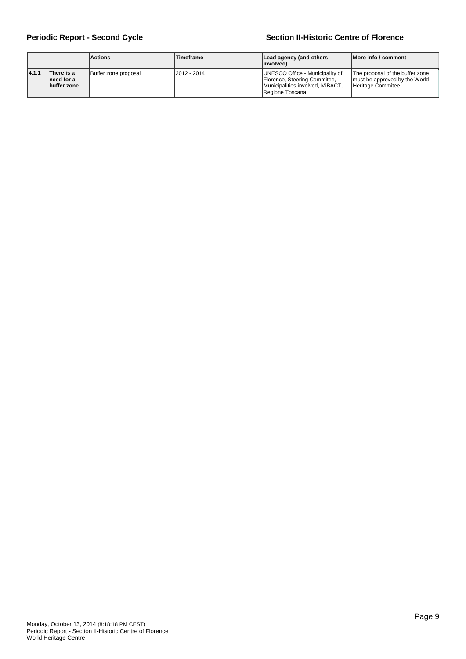## **Periodic Report - Second Cycle Section II-Historic Centre of Florence**

|        |                                         | <b>Actions</b>       | Timeframe                                                                                                                              | Lead agency (and others<br>linvolved) | More info / comment                                                                   |
|--------|-----------------------------------------|----------------------|----------------------------------------------------------------------------------------------------------------------------------------|---------------------------------------|---------------------------------------------------------------------------------------|
| 14.1.1 | There is a<br>need for a<br>buffer zone | Buffer zone proposal | UNESCO Office - Municipality of<br>12012 - 2014<br>Florence, Steering Commitee,<br>Municipalities involved, MiBACT,<br>Regione Toscana |                                       | The proposal of the buffer zone<br>must be approved by the World<br>Heritage Commitee |